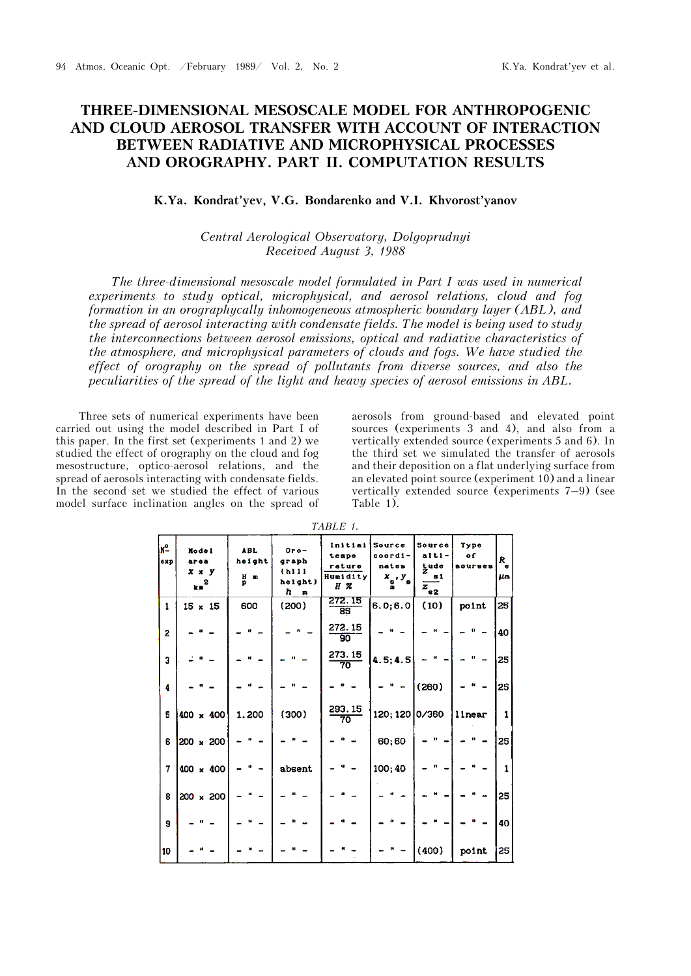## **THREE-DIMENSIONAL MESOSCALE MODEL FOR ANTHROPOGENIC AND CLOUD AEROSOL TRANSFER WITH ACCOUNT OF INTERACTION BETWEEN RADIATIVE AND MICROPHYSICAL PROCESSES AND OROGRAPHY. PART II. COMPUTATION RESULTS**

## **K.Ya. Kondrat'yev, V.G. Bondarenko and V.I. Khvorost'yanov**

## *Central Aerological Observatory, Dolgoprudnyi Received August 3, 1988*

*The three-dimensional mesoscale model formulated in Part I was used in numerical experiments to study optical, microphysical, and aerosol relations, cloud and fog formation in an orographycally inhomogeneous atmospheric boundary layer (ABL), and the spread of aerosol interacting with condensate fields. The model is being used to study the interconnections between aerosol emissions, optical and radiative characteristics of the atmosphere, and microphysical parameters of clouds and fogs. We have studied the effect of orography on the spread of pollutants from diverse sources, and also the peculiarities of the spread of the light and heavy species of aerosol emissions in ABL.*

Three sets of numerical experiments have been carried out using the model described in Part I of this paper. In the first set (experiments 1 and 2) we studied the effect of orography on the cloud and fog mesostructure, optico-aerosol relations, and the spread of aerosols interacting with condensate fields. In the second set we studied the effect of various model surface inclination angles on the spread of

aerosols from ground-based and elevated point sources (experiments 3 and 4), and also from a vertically extended source (experiments 5 and 6). In the third set we simulated the transfer of aerosols and their deposition on a flat underlying surface from an elevated point source (experiment 10) and a linear vertically extended source (experiments 7–9) (see Table 1).

| $N^2$<br>exp | Nodel<br>arca<br>$x \times y$<br>$kn^2$ | <b>ABL</b><br>height<br>H m<br>Ð | $0r$ o-<br>graph<br>(h11)<br>helght)<br>$h$ m | Initial<br>tempe<br>rature<br>Humidity<br>HZ | Source<br>coordi-<br>nates<br>$x_{s}$ , $y_{s}$ | Source<br>alti-<br>gude<br>$\mathbf{51}$<br>$\overline{z}_{n2}$ | Type<br>٥f<br>sourses | R<br>$\bullet$<br><b>LLES</b> |
|--------------|-----------------------------------------|----------------------------------|-----------------------------------------------|----------------------------------------------|-------------------------------------------------|-----------------------------------------------------------------|-----------------------|-------------------------------|
| 1            | $15 \times 15$                          | 600                              | (200)                                         | 272.15<br>$\overline{85}$                    | 6.0; 6.0                                        | (10)                                                            | point                 | 25                            |
| 2            |                                         |                                  |                                               | 272.15<br>90                                 |                                                 |                                                                 | $\mathbf{u}$          | 40                            |
| 3            |                                         |                                  |                                               | 273.15<br>70                                 | 4.5; 4.5                                        |                                                                 |                       | 25                            |
| 4            |                                         |                                  |                                               |                                              |                                                 | (260)                                                           |                       | 25                            |
| 5            | 400 x 400                               | 1.200                            | (300)                                         | 293.15<br>70                                 | 120; 120 0/360                                  |                                                                 | linear                | 1                             |
| 6            | 200 x 200                               |                                  |                                               |                                              | 60;60                                           | н                                                               |                       | 25                            |
| 7            | 400 x 400                               | ċ1.                              | absent                                        | u                                            | 100;40                                          |                                                                 |                       | $\mathbf{1}$                  |
| 8            | 200 x 200                               |                                  |                                               |                                              |                                                 |                                                                 |                       | 25                            |
| 9            |                                         |                                  |                                               |                                              |                                                 |                                                                 |                       | 40                            |
| 10           |                                         |                                  |                                               |                                              |                                                 | (400)                                                           | point                 | 25                            |

*TABLE 1.*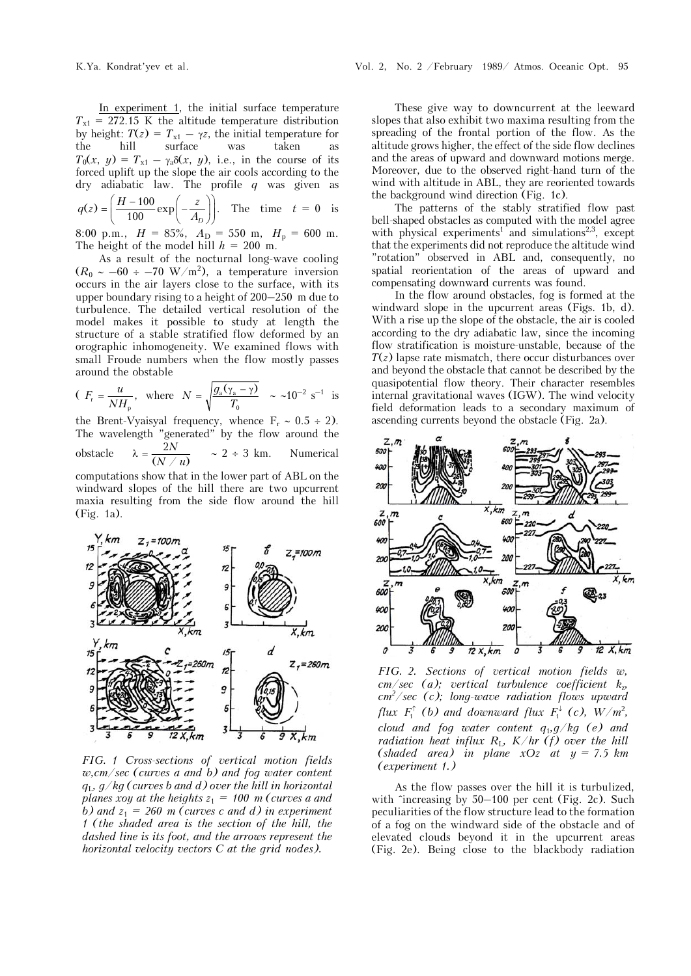In experiment 1, the initial surface temperature  $T_{x1}$  = 272.15 K the altitude temperature distribution by height:  $T(z) = T_{x1} - \gamma z$ , the initial temperature for<br>the hill surface was taken as the hill surface was taken as  $T_0(x, y) = T_{x1} - \gamma_0 \delta(x, y)$ , i.e., in the course of its forced uplift up the slope the air cools according to the dry adiabatic law. The profile *q* was given as

$$
q(z) = \left(\frac{H - 100}{100} \exp\left(-\frac{z}{A_D}\right)\right).
$$
 The time  $t = 0$  is

8:00 p.m.,  $H = 85\%, A_D = 550$  m,  $H_p = 600$  m. The height of the model hill  $h = 200$  m.

As a result of the nocturnal long-wave cooling  $(R_0 \sim -60 \div -70 \text{ W/m}^2)$ , a temperature inversion occurs in the air layers close to the surface, with its upper boundary rising to a height of 200–250 m due to turbulence. The detailed vertical resolution of the model makes it possible to study at length the structure of a stable stratified flow deformed by an orographic inhomogeneity. We examined flows with small Froude numbers when the flow mostly passes around the obstable

$$
(F_r = \frac{u}{NH_p}, \text{ where } N = \sqrt{\frac{g_a(\gamma_a - \gamma)}{T_0}} \sim \sim 10^{-2} \text{ s}^{-1} \text{ is}
$$

the Brent-Vyaisyal frequency, whence  $F_r \sim 0.5 \div 2$ ). The wavelength "generated" by the flow around the obstacle  $\lambda = \frac{2N}{(N \ / u)}$ *N*  $\lambda = \frac{2N}{(N/u)}$   $\sim 2 \div 3$  km. Numerical

computations show that in the lower part of ABL on the windward slopes of the hill there are two upcurrent maxia resulting from the side flow around the hill (Fig. 1a).



*FIG. 1 Cross-sections of vertical motion fields w,cm/sec (curves a and b) and fog water content q*L*, g/kg (curves b and d) over the hill in horizontal planes xoy at the heights*  $z_1 = 100$  *m (curves a and b)* and  $z_1 = 260$  *m* (curves c and d) in experiment *1 (the shaded area is the section of the hill, the dashed line is its foot, and the arrows represent the horizontal velocity vectors C at the grid nodes).*

These give way to downcurrent at the leeward slopes that also exhibit two maxima resulting from the spreading of the frontal portion of the flow. As the altitude grows higher, the effect of the side flow declines and the areas of upward and downward motions merge. Moreover, due to the observed right-hand turn of the wind with altitude in ABL, they are reoriented towards the background wind direction (Fig. 1c).

The patterns of the stably stratified flow past bell-shaped obstacles as computed with the model agree with physical experiments<sup>1</sup> and simulations<sup>2,3</sup>, except that the experiments did not reproduce the altitude wind "rotation" observed in ABL and, consequently, no spatial reorientation of the areas of upward and compensating downward currents was found.

In the flow around obstacles, fog is formed at the windward slope in the upcurrent areas (Figs. 1b, d). With a rise up the slope of the obstacle, the air is cooled according to the dry adiabatic law, since the incoming flow stratification is moisture-unstable, because of the *T*(*z*) lapse rate mismatch, there occur disturbances over and beyond the obstacle that cannot be described by the quasipotential flow theory. Their character resembles internal gravitational waves (IGW). The wind velocity field deformation leads to a secondary maximum of ascending currents beyond the obstacle (Fig. 2a).



*FIG. 2. Sections of vertical motion fields w, cm/sec (a); vertical turbulence coefficient k*z*, cm2 /sec (c); long-wave radiation flows upward flux*  $F_1^{\uparrow}$  (*b*) and downward flux  $F_1^{\downarrow}$  (*c*),  $W/m^2$ , *cloud and fog water content q*1*,g/kg (e) and radiation heat influx R<sub>L</sub>, K/hr (f) over the hill*  $(shaded \text{ area})$  in plane  $xOz$  at  $y = 7.5$  km *(experiment 1.)*

As the flow passes over the hill it is turbulized, with  $\text{`increasing by } 50-100$  per cent (Fig. 2c). Such peculiarities of the flow structure lead to the formation of a fog on the windward side of the obstacle and of elevated clouds beyond it in the upcurrent areas (Fig. 2e). Being close to the blackbody radiation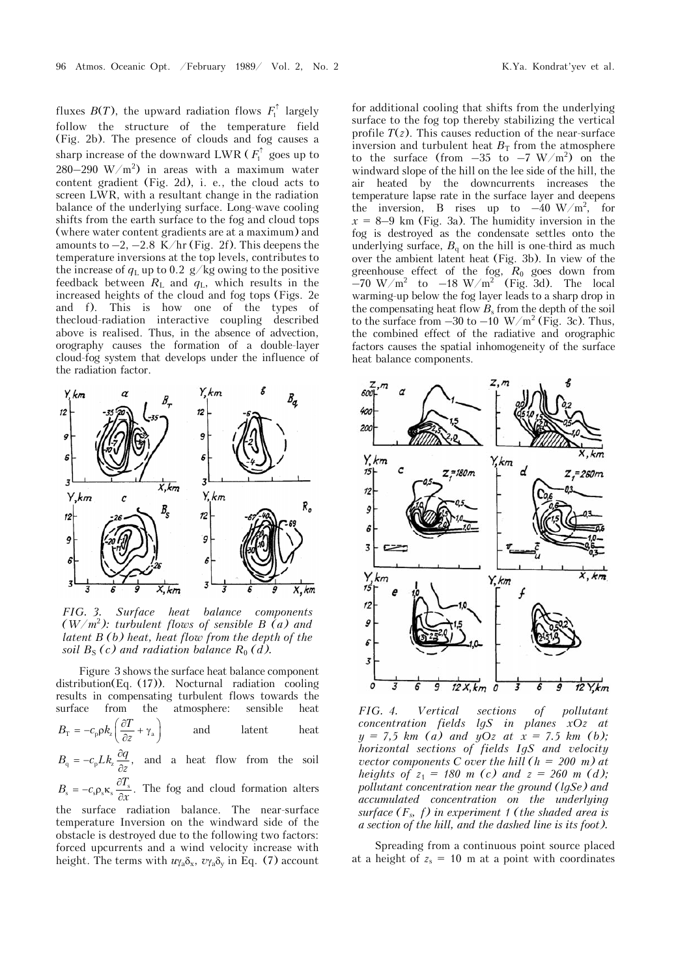fluxes  $B(T)$ , the upward radiation flows  $F_1^{\uparrow}$  largely follow the structure of the temperature field (Fig. 2b). The presence of clouds and fog causes a sharp increase of the downward LWR  $(F_1^{\uparrow}$  goes up to  $280-290$  W/m<sup>2</sup>) in areas with a maximum water content gradient (Fig. 2d), i. e., the cloud acts to screen LWR, with a resultant change in the radiation balance of the underlying surface. Long-wave cooling shifts from the earth surface to the fog and cloud tops (where water content gradients are at a maximum) and amounts to  $-2$ ,  $-2.8$  K/hr (Fig. 2f). This deepens the temperature inversions at the top levels, contributes to the increase of  $q_L$  up to 0.2 g/kg owing to the positive feedback between  $R_L$  and  $q_L$ , which results in the increased heights of the cloud and fog tops (Figs. 2e and f). This is how one of the types of thecloud-radiation interactive coupling described above is realised. Thus, in the absence of advection, orography causes the formation of a double-layer cloud-fog system that develops under the influence of the radiation factor.



*FIG. 3. Surface heat balance components (W/m*<sup>2</sup> *): turbulent flows of sensible B (a) and latent B (b) heat, heat flow from the depth of the soil*  $B_S(c)$  *and radiation balance*  $R_0(d)$ *.* 

Figure 3 shows the surface heat balance component distribution(Eq. (17)). Nocturnal radiation cooling results in compensating turbulent flows towards the surface from the atmosphere: sensible heat  $B_{\rm T} = -c_{\rm p}\rho k_{\rm z}\left(\frac{\partial T}{\partial z} + \gamma_{\rm a}\right)$  $=-c_{\rm p}\rho k_{\rm z}\left(\frac{\partial T}{\partial z}+\gamma_{\rm a}\right)$ latent heat

 $B_{\rm q} = -c_{\rm p} L k_z \frac{\partial q}{\partial z}$ , and a heat flow from the soil

 $B_{\rm s} = -c_{\rm s}\rho_{\rm s}\kappa_{\rm s}\frac{\partial T_{\rm s}}{\partial x}.$  $=-c_s \rho_s \kappa_s \frac{\partial T_s}{\partial x}$ . The fog and cloud formation alters the surface radiation balance. The near-surface

temperature Inversion on the windward side of the obstacle is destroyed due to the following two factors: forced upcurrents and a wind velocity increase with height. The terms with  $u_{\gamma_a} \delta_x$ ,  $v_{\gamma_a} \delta_y$  in Eq. (7) account

for additional cooling that shifts from the underlying surface to the fog top thereby stabilizing the vertical profile  $T(z)$ . This causes reduction of the near-surface inversion and turbulent heat  $B_T$  from the atmosphere to the surface (from  $-35$  to  $-7$  W/m<sup>2</sup>) on the windward slope of the hill on the lee side of the hill, the air heated by the downcurrents increases the temperature lapse rate in the surface layer and deepens the inversion, B rises up to  $-40 \text{ W/m}^2$ , for  $x = 8-9$  km (Fig. 3a). The humidity inversion in the fog is destroyed as the condensate settles onto the underlying surface,  $B_q$  on the hill is one-third as much over the ambient latent heat (Fig. 3b). In view of the greenhouse effect of the fog, *R*0 goes down from  $-70$  W/m<sup>2</sup> to  $-18$  W/m<sup>2</sup> (Fig. 3d). The local warming-up below the fog layer leads to a sharp drop in the compensating heat flow  $B_s$  from the depth of the soil to the surface from  $-30$  to  $-10 \frac{\text{W}}{\text{m}^2}$  (Fig. 3c). Thus, the combined effect of the radiative and orographic factors causes the spatial inhomogeneity of the surface heat balance components.



*FIG. 4. Vertical sections of pollutant concentration fields lgS in planes xOz at*   $y = 7.5$  km (a) and  $yOz$  at  $x = 7.5$  km (b); *horizontal sections of fields IgS and velocity vector components C over the hill (h = 200 m) at heights of*  $z_1 = 180$  *m* (*c*) *and*  $z = 260$  *m* (*d*); *pollutant concentration near the ground (lgSe) and accumulated concentration on the underlying surface (Fs, f) in experiment 1 (the shaded area is a section of the hill, and the dashed line is its foot).*

Spreading from a continuous point source placed at a height of  $z_s = 10$  m at a point with coordinates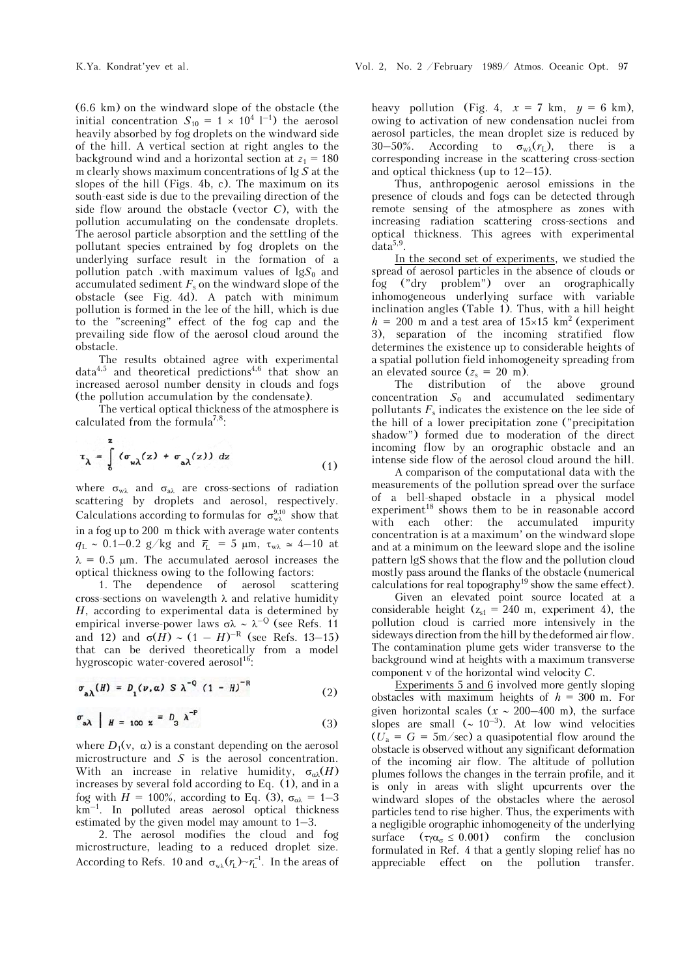(6.6 km) on the windward slope of the obstacle (the initial concentration  $S_{10} = 1 \times 10^4$  l<sup>-1</sup>) the aerosol heavily absorbed by fog droplets on the windward side of the hill. A vertical section at right angles to the background wind and a horizontal section at  $z_1 = 180$ m clearly shows maximum concentrations of lg *S* at the slopes of the hill (Figs. 4b, c). The maximum on its south-east side is due to the prevailing direction of the side flow around the obstacle (vector *C*), with the pollution accumulating on the condensate droplets. The aerosol particle absorption and the settling of the pollutant species entrained by fog droplets on the underlying surface result in the formation of a pollution patch .with maximum values of  $\log S_0$  and accumulated sediment  $F_s$  on the windward slope of the obstacle (see Fig. 4d). A patch with minimum pollution is formed in the lee of the hill, which is due to the "screening" effect of the fog cap and the prevailing side flow of the aerosol cloud around the obstacle.

The results obtained agree with experimental  $data<sup>4,5</sup>$  and theoretical predictions<sup>4,6</sup> that show an increased aerosol number density in clouds and fogs (the pollution accumulation by the condensate).

The vertical optical thickness of the atmosphere is calculated from the formula<sup>7,8</sup>:

$$
\tau_{\lambda} = \int_{0}^{z} (\sigma_{w\lambda}(z) + \sigma_{a\lambda}(z)) dz
$$
 (1)

where  $\sigma_{w\lambda}$  and  $\sigma_{a\lambda}$  are cross-sections of radiation scattering by droplets and aerosol, respectively. Calculations according to formulas for  $\sigma_{w\lambda}^{9,10}$  show that in a fog up to 200 m thick with average water contents  $q_{\rm L} \sim 0.1$ –0.2 g/kg and  $\bar{r}_{\rm L}$  = 5  $\mu$ m,  $\tau_{\rm w\lambda} \simeq 4$ –10 at  $\lambda = 0.5$  µm. The accumulated aerosol increases the optical thickness owing to the following factors:

1. The dependence of aerosol scattering cross-sections on wavelength  $\lambda$  and relative humidity *H*, according to experimental data is determined by empirical inverse-power laws  $\sigma \lambda \sim \lambda^{-Q}$  (see Refs. 11 and 12) and  $\sigma(H) \sim (1 - H)^{-R}$  (see Refs. 13–15) that can be derived theoretically from a model hygroscopic water-covered aerosol<sup>16</sup>:

$$
\sigma_{a\lambda}(H) = D_1(\nu, \alpha) S \lambda^{-0} (1 - H)^{-R}
$$
 (2)

$$
\sigma_{a\lambda} \mid H = 100 \times \sigma^2 \rho^2 \qquad (3)
$$

where  $D_1(v, \alpha)$  is a constant depending on the aerosol microstructure and *S* is the aerosol concentration. With an increase in relative humidity,  $\sigma_{\alpha\lambda}(H)$ increases by several fold according to Eq. (1), and in a fog with  $H = 100\%$ , according to Eq. (3),  $\sigma_{\alpha\lambda} = 1-3$  $km^{-1}$ . In polluted areas aerosol optical thickness estimated by the given model may amount to 1–3.

2. The aerosol modifies the cloud and fog microstructure, leading to a reduced droplet size. According to Refs. 10 and  $\sigma_{w\lambda}(r_{\rm L}) \sim r_{\rm L}^{-1}$ . In the areas of heavy pollution (Fig. 4,  $x = 7$  km,  $y = 6$  km), owing to activation of new condensation nuclei from aerosol particles, the mean droplet size is reduced by 30–50%. According to  $\sigma_{w\lambda}(r_L)$ , there is a corresponding increase in the scattering cross-section and optical thickness (up to 12–15).

Thus, anthropogenic aerosol emissions in the presence of clouds and fogs can be detected through remote sensing of the atmosphere as zones with increasing radiation scattering cross-sections and optical thickness. This agrees with experimental  $data^{5,9}$ 

In the second set of experiments, we studied the spread of aerosol particles in the absence of clouds or fog ("dry problem") over an orographically inhomogeneous underlying surface with variable inclination angles (Table 1). Thus, with a hill height  $h = 200$  m and a test area of  $15 \times 15$  km<sup>2</sup> (experiment 3), separation of the incoming stratified flow determines the existence up to considerable heights of a spatial pollution field inhomogeneity spreading from an elevated source  $(z_s = 20 \text{ m})$ .<br>The distribution of t

distribution of the above ground concentration  $S_0$  and accumulated sedimentary pollutants  $F_s$  indicates the existence on the lee side of the hill of a lower precipitation zone ("precipitation shadow") formed due to moderation of the direct incoming flow by an orographic obstacle and an intense side flow of the aerosol cloud around the hill.

A comparison of the computational data with the measurements of the pollution spread over the surface of a bell-shaped obstacle in a physical model experiment<sup>18</sup> shows them to be in reasonable accord with each other: the accumulated impurity concentration is at a maximum' on the windward slope and at a minimum on the leeward slope and the isoline pattern lgS shows that the flow and the pollution cloud mostly pass around the flanks of the obstacle (numerical calculations for real topography19 show the same effect).

Given an elevated point source located at a considerable height  $(z_{s1} = 240 \text{ m}, \text{ experiment } 4)$ , the pollution cloud is carried more intensively in the sideways direction from the hill by the deformed air flow. The contamination plume gets wider transverse to the background wind at heights with a maximum transverse component v of the horizontal wind velocity *C*.

Experiments 5 and 6 involved more gently sloping obstacles with maximum heights of  $h = 300$  m. For given horizontal scales ( $x \sim 200-400$  m), the surface slopes are small  $({\sim 10^{-3}})$ . At low wind velocities  $(\overline{U}_a = G = 5m/sec)$  a quasipotential flow around the obstacle is observed without any significant deformation of the incoming air flow. The altitude of pollution plumes follows the changes in the terrain profile, and it is only in areas with slight upcurrents over the windward slopes of the obstacles where the aerosol particles tend to rise higher. Thus, the experiments with a negligible orographic inhomogeneity of the underlying surface  $(\tau \gamma \alpha_{\sigma} \leq 0.001)$  confirm the conclusion formulated in Ref. 4 that a gently sloping relief has no appreciable effect on the pollution transfer.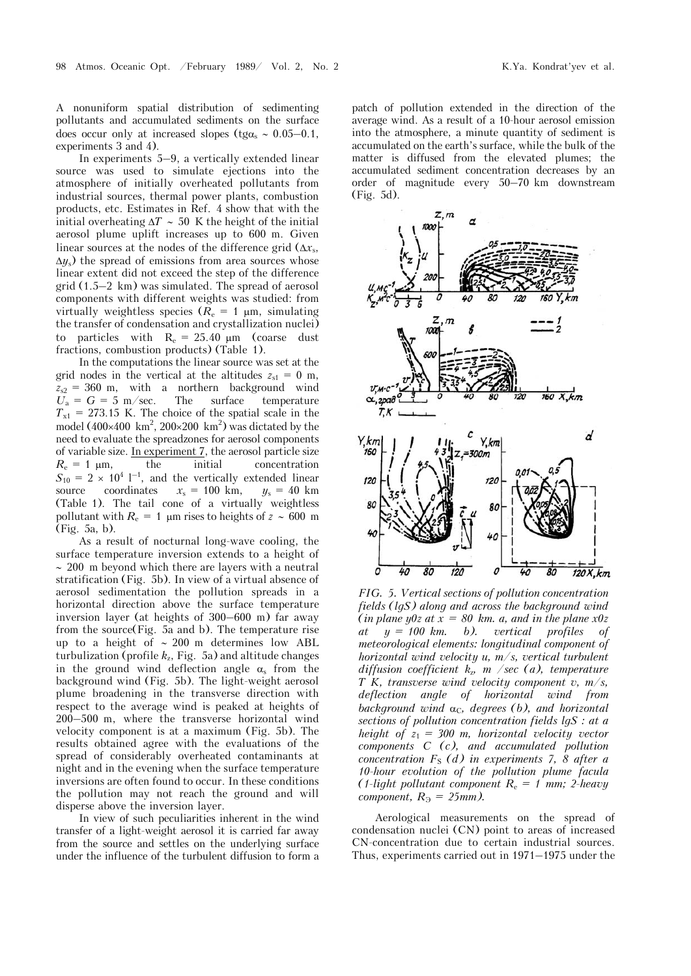A nonuniform spatial distribution of sedimenting pollutants and accumulated sediments on the surface does occur only at increased slopes (tg $\alpha_s \sim 0.05-0.1$ , experiments 3 and 4).

In experiments 5–9, a vertically extended linear source was used to simulate ejections into the atmosphere of initially overheated pollutants from industrial sources, thermal power plants, combustion products, etc. Estimates in Ref. 4 show that with the initial overheating  $\Delta T \sim 50$  K the height of the initial aerosol plume uplift increases up to 600 m. Given linear sources at the nodes of the difference grid  $(\Delta x_s,$  $\Delta y$  the spread of emissions from area sources whose linear extent did not exceed the step of the difference grid (1.5–2 km) was simulated. The spread of aerosol components with different weights was studied: from virtually weightless species  $(R_e = 1 \mu m, \text{ simulating})$ the transfer of condensation and crystallization nuclei) to particles with  $R_e = 25.40 \mu m$  (coarse dust fractions, combustion products) (Table 1).

In the computations the linear source was set at the grid nodes in the vertical at the altitudes  $z_{s1} = 0$  m,  $z_{s2}$  = 360 m, with a northern background wind<br> $U_a = G = 5$  m/sec. The surface temperature  $U_a = G = 5$  m/sec. The surface  $T_{x1}$  = 273.15 K. The choice of the spatial scale in the model (400×400 km<sup>2</sup>, 200×200 km<sup>2</sup>) was dictated by the need to evaluate the spreadzones for aerosol components of variable size. In experiment  $\overline{z}$ , the aerosol particle size  $R_e = 1 \text{ µm}$ , the initial concentration  $S_{10} = 2 \times 10^{4}$  l<sup>-1</sup>, and the vertically extended linear source coordinates  $x_s = 100 \text{ km}, \quad y_s = 40 \text{ km}$ (Table 1). The tail cone of a virtually weightless pollutant with  $R_e = 1$  µm rises to heights of  $z \sim 600$  m (Fig. 5a, b).

As a result of nocturnal long-wave cooling, the surface temperature inversion extends to a height of  $\sim$  200 m beyond which there are layers with a neutral stratification (Fig. 5b). In view of a virtual absence of aerosol sedimentation the pollution spreads in a horizontal direction above the surface temperature inversion layer (at heights of 300–600 m) far away from the source(Fig. 5a and b). The temperature rise up to a height of  $\sim 200$  m determines low ABL turbulization (profile  $k_z$ , Fig. 5a) and altitude changes in the ground wind deflection angle  $\alpha_s$  from the background wind (Fig. 5b). The light-weight aerosol plume broadening in the transverse direction with respect to the average wind is peaked at heights of 200–500 m, where the transverse horizontal wind velocity component is at a maximum (Fig. 5b). The results obtained agree with the evaluations of the spread of considerably overheated contaminants at night and in the evening when the surface temperature inversions are often found to occur. In these conditions the pollution may not reach the ground and will disperse above the inversion layer.

In view of such peculiarities inherent in the wind transfer of a light-weight aerosol it is carried far away from the source and settles on the underlying surface under the influence of the turbulent diffusion to form a patch of pollution extended in the direction of the average wind. As a result of a 10-hour aerosol emission into the atmosphere, a minute quantity of sediment is accumulated on the earth's surface, while the bulk of the matter is diffused from the elevated plumes; the accumulated sediment concentration decreases by an order of magnitude every 50–70 km downstream (Fig. 5d).



*FIG. 5. Vertical sections of pollution concentration fields (lgS) along and across the background wind*  (*in plane y0z at*  $x = 80$  *km. a, and in the plane x0z*  $at \quad y = 100 \; km.$  b). vertical profiles of *meteorological elements: longitudinal component of horizontal wind velocity u, m/s, vertical turbulent diffusion coefficient k*z*, m /sec (a), temperature T K, transverse wind velocity component v, m/s, deflection angle of horizontal wind from background wind*  $\alpha_C$ , *degrees* (*b*), and *horizontal sections of pollution concentration fields lgS : at a height of*  $z_1 = 300$  *m, horizontal velocity vector components C (c), and accumulated pollution concentration F<sub>S</sub>* (d) in experiments 7, 8 after a *10-hour evolution of the pollution plume facula (1-light pollutant component R*<sup>e</sup> *= 1 mm; 2-heavy component,*  $R_3 = 25$ *mm*).

Aerological measurements on the spread of condensation nuclei (CN) point to areas of increased CN-concentration due to certain industrial sources. Thus, experiments carried out in 1971–1975 under the